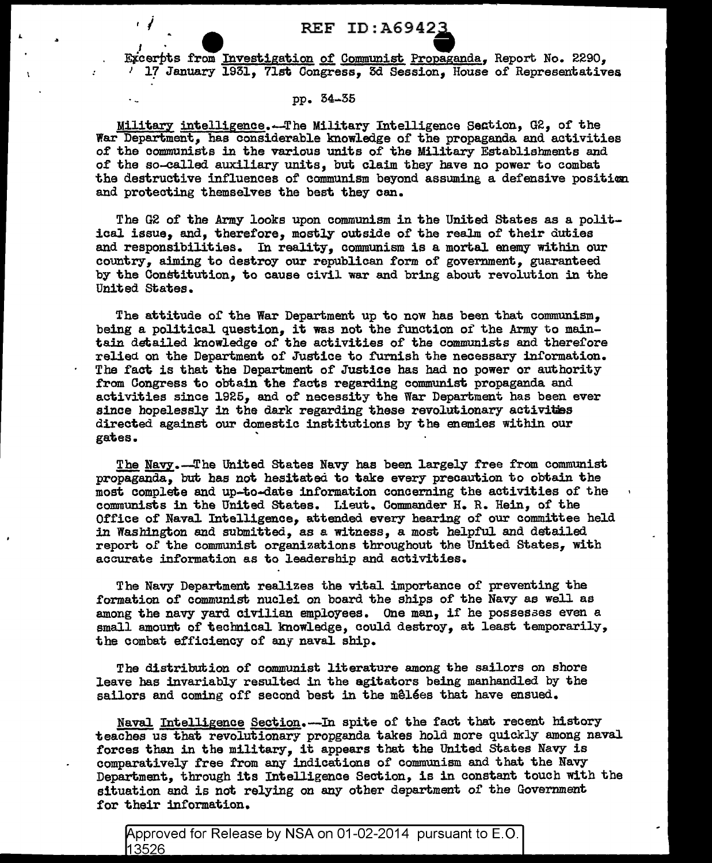## **REF ID:A69423**

Excerpts from Investigation of Communist Propaganda, Report No. 2290, <sup>*i*</sup> 17 January 1931, 71st Congress, 3d Session, House of Representatives

## pp. 54-35

Military intelligence.--The Military Intelligence Section, G2, of the War Department, has considerable knowledge of the propaganda and activities of the communists in the various units of the Military Establishments and of the so-called auxiliary units, but claim they have no power to combat the destructive influences of communism beyond assuming a defensive position and protecting themselves the best they can.

The G2 of the Army looks upon communism in the United states as a political issue, and, therefore, mostly outside of the realm of their duties and responsibilities. In reality, communism is a mortal enemy within our country, aiming to destroy our republican form of government, guaranteed by the Constitution, to cause civil war and bring about revolution in the United States.

The attitude of the War Department up to now has been that communism, being a political question, it was not the function of the Army to maintain detailed knowledge of the activities of the communists and therefore relied on the Department of Justice to furnish the necessary information. The fact is that the Department of Justice has had no power or authority from Congress to obtain the facts regarding communist propaganda and activities since 1925, and of necessity the War Department has been ever since hopelessly in the dark regarding these revolutionary activities directed against our domestic institutions by the enemies within our gates. '

The Navy.-The United States Navy has been largely free from communist propaganda, but has not hesitated. to take every precaution to obtain the most complete and up-to-date information concerning the activities of the communists in the United states. Lieut. Commander H. R. Hein, of the Office of Naval Intelligence, attended every hearing of our committee held in Washington and submitted, as a witness, a most helpful and detailed report of the communist organizations throughout the United States, with accurate information as to leadership and activities.

The Navy Department realizes the vital importance of preventing the formation of communist nuclei *on* board the ships of the Navy as well as among the navy yard civilian employees. One man, if he possesaes even a small amount of technical knowledge, could destroy, at least temporarily, the combat efficiency of any naval. ship.

The distribution of communist literature among the sailors on shore leave has invariably resulted in the agitators being manhandled by the sailors and coming off second best in the målées that have ensued.

Naval Intelligence Section.--In spite of the fact that recent history teaches us that revolutionary propganda takes hold more quickly among naval forces than in the military, it appears that the United states Navy is comparatively free from any indications of communism and that the Navy Department, through its Intelligence Section, is in constant touch with the situation and is not relying on any other department of the Government for their information.

Approved for Release by NSA on 01-02-2014 pursuant to E.O. 13526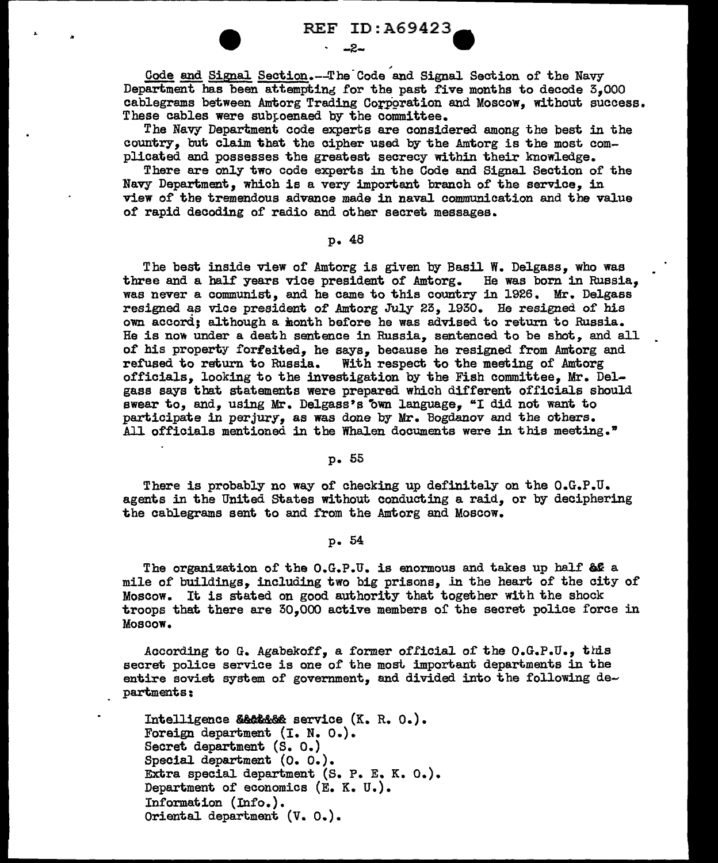**REF ID:A69423** 

 $-2-$ 

Gode and Signal Section.--The Code and Signal Section of the Navy Department has been attempting for the past five months to decode  $5,000$ cablegrams between Amtorg Trading Corporation and Moscow, without success. These cables were subpoenaed by the committee.

The Navy Department code experts are considered among the best in the country, but claim that the cipher used by the Amtorg is the most complicated and possesses the greatest secrecy within their knowledge.

There are only two code experts in the Code and Signal Section of the Navy Department, which is a very important branch of the service, in view of the tremendous advance made in naval communication and the value of rapid decoding of radio and other secret messages.

## P• 48

The best inside view of Amtorg is given by Basil W. Delgass, who was<br>ree and a half years vice president of Amtorg. He was born in Russia. three and a half years vice president of Amtorg. was never a communist, and he came to this country in 1926. Mr. Delgass resigned as vice president of Amtorg July 25, 1930. He resigned of his own accord; although a month before he was advised to return to Russia. He is now under a death sentence in Russia, sentenced to be shot, and all of his property forfeited, he says, because he resigned from Amtorg and refused to return to Russia. With respect to the meeting of Amtorg With respect to the meeting of Amtorg officials, looking to the investigation by the Fish committee, Mr. Delgass says that statements were prepared which different officials should swear to, and, using Mr. Delgass's own language, "I did not want to participate in perjury, as was done by Mr. Bogdanov and the others. All officials mentioned in the Whalen documents were in this meeting."

## p. 55

There is probably no way of checking up definitely on the O.G.P.U. agents in the United States without conducting a raid, or by deciphering the cablegrams sent to and from the Amtorg and Moscow.

p. 54

The organization of the O.G.P.U. is enormous and takes up half 6& <sup>a</sup> mile of buildings, including two big prisons, in the heart of the city of Moscow. It is stated on good authority that together with the shock troops that there are 30,000 active members of the secret police force in Moscow.

According to G. Agabekoff, a former official of the  $0.6.$ P.U., this secret police service is one of the most important departments in the entire soviet system of government, and divided into the following departments:

Intelligence & & & & service (K. R. O.). Foreign department (I. N. O.). Secret department (S. O.) Special department (O. O.). Extra special department (S. P. E. K. O.). Department of economics (E. K. U.). Information (Info.). Oriental department (V. O.).